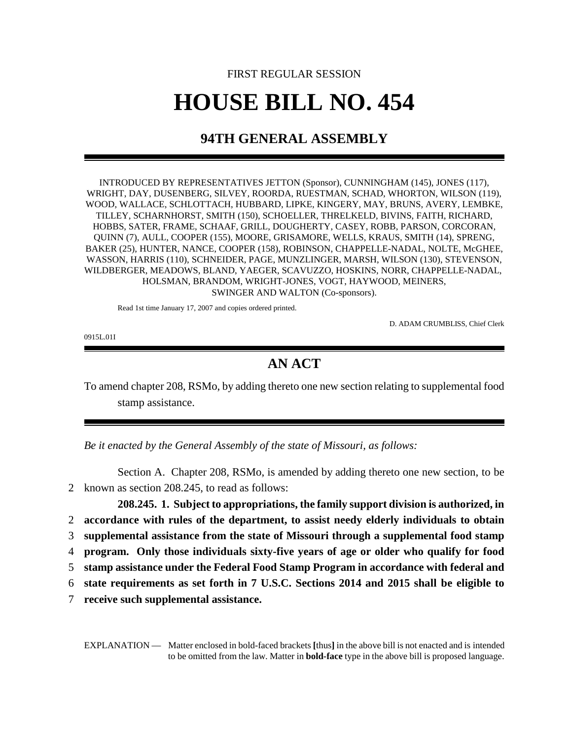## FIRST REGULAR SESSION **HOUSE BILL NO. 454**

## **94TH GENERAL ASSEMBLY**

INTRODUCED BY REPRESENTATIVES JETTON (Sponsor), CUNNINGHAM (145), JONES (117), WRIGHT, DAY, DUSENBERG, SILVEY, ROORDA, RUESTMAN, SCHAD, WHORTON, WILSON (119), WOOD, WALLACE, SCHLOTTACH, HUBBARD, LIPKE, KINGERY, MAY, BRUNS, AVERY, LEMBKE, TILLEY, SCHARNHORST, SMITH (150), SCHOELLER, THRELKELD, BIVINS, FAITH, RICHARD, HOBBS, SATER, FRAME, SCHAAF, GRILL, DOUGHERTY, CASEY, ROBB, PARSON, CORCORAN, QUINN (7), AULL, COOPER (155), MOORE, GRISAMORE, WELLS, KRAUS, SMITH (14), SPRENG, BAKER (25), HUNTER, NANCE, COOPER (158), ROBINSON, CHAPPELLE-NADAL, NOLTE, McGHEE, WASSON, HARRIS (110), SCHNEIDER, PAGE, MUNZLINGER, MARSH, WILSON (130), STEVENSON, WILDBERGER, MEADOWS, BLAND, YAEGER, SCAVUZZO, HOSKINS, NORR, CHAPPELLE-NADAL, HOLSMAN, BRANDOM, WRIGHT-JONES, VOGT, HAYWOOD, MEINERS, SWINGER AND WALTON (Co-sponsors).

Read 1st time January 17, 2007 and copies ordered printed.

D. ADAM CRUMBLISS, Chief Clerk

0915L.01I

## **AN ACT**

To amend chapter 208, RSMo, by adding thereto one new section relating to supplemental food stamp assistance.

*Be it enacted by the General Assembly of the state of Missouri, as follows:*

Section A. Chapter 208, RSMo, is amended by adding thereto one new section, to be 2 known as section 208.245, to read as follows:

**208.245. 1. Subject to appropriations, the family support division is authorized, in accordance with rules of the department, to assist needy elderly individuals to obtain supplemental assistance from the state of Missouri through a supplemental food stamp program. Only those individuals sixty-five years of age or older who qualify for food stamp assistance under the Federal Food Stamp Program in accordance with federal and state requirements as set forth in 7 U.S.C. Sections 2014 and 2015 shall be eligible to**

7 **receive such supplemental assistance.**

EXPLANATION — Matter enclosed in bold-faced brackets **[**thus**]** in the above bill is not enacted and is intended to be omitted from the law. Matter in **bold-face** type in the above bill is proposed language.